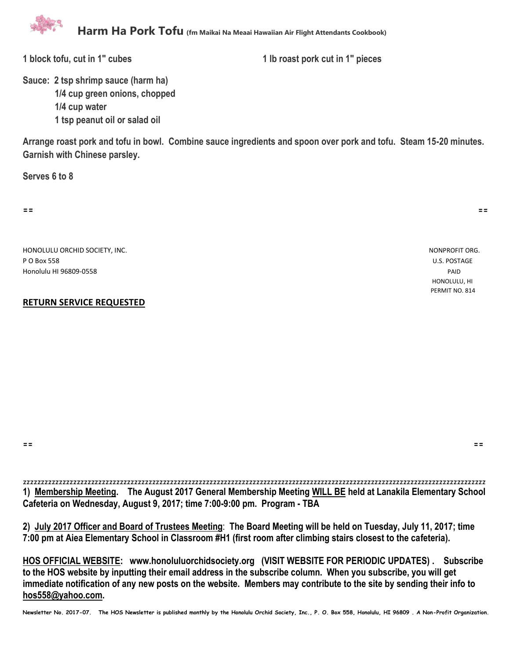

**1 block tofu, cut in 1" cubes 1 lb roast pork cut in 1" pieces**

**Sauce: 2 tsp shrimp sauce (harm ha) 1/4 cup green onions, chopped 1/4 cup water 1 tsp peanut oil or salad oil**

**Arrange roast pork and tofu in bowl. Combine sauce ingredients and spoon over pork and tofu. Steam 15-20 minutes. Garnish with Chinese parsley.** 

**Serves 6 to 8**

**== ==**

HONOLULU ORCHID SOCIETY, INC. NONPROFIT ORG. P O Box 558 U.S. POSTAGE Honolulu HI 96809-0558 PAID

## **RETURN SERVICE REQUESTED**

 HONOLULU, HI PERMIT NO. 814

**== ==**

zzzzzzzzzzzzzzzzzzzzzzzzzzzzzzzzzzzzzzzzzzzzzzzzzzzzzzzzzzzzzzzzzzzzzzzzzzzzzzzzzzzzzzzzzzzzzzzzzzzzzzzzzzzzzzzzzzzzzzzzzzzzzzzzz **1) Membership Meeting. The August 2017 General Membership Meeting WILL BE held at Lanakila Elementary School Cafeteria on Wednesday, August 9, 2017; time 7:00-9:00 pm. Program - TBA**

**2) July 2017 Officer and Board of Trustees Meeting**: **The Board Meeting will be held on Tuesday, July 11, 2017; time 7:00 pm at Aiea Elementary School in Classroom #H1 (first room after climbing stairs closest to the cafeteria).** 

**HOS OFFICIAL WEBSITE: www.honoluluorchidsociety.org (VISIT WEBSITE FOR PERIODIC UPDATES) . Subscribe to the HOS website by inputting their email address in the subscribe column. When you subscribe, you will get immediate notification of any new posts on the website. Members may contribute to the site by sending their info to hos558@yahoo.com.** 

**Newsletter No. 2017-07. The HOS Newsletter is published monthly by the Honolulu Orchid Society, Inc., P. O. Box 558, Honolulu, HI 96809 . A Non-Profit Organization.**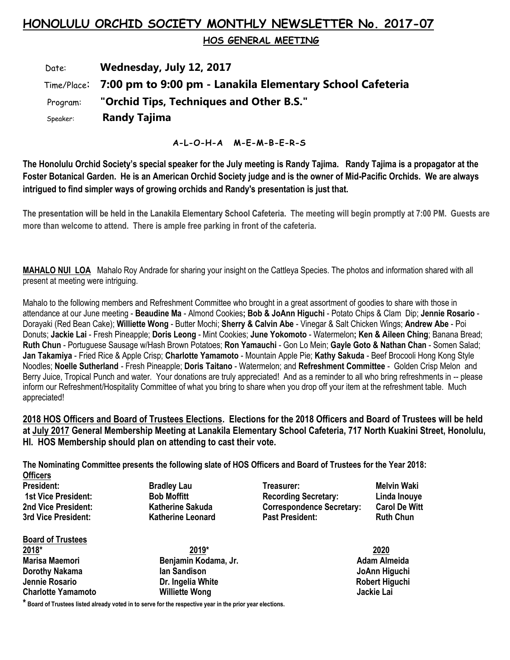# **HONOLULU ORCHID SOCIETY MONTHLY NEWSLETTER No. 2017-07**

 **HOS GENERAL MEETING** 

 Date: **Wednesday, July 12, 2017** Time/Place: **7:00 pm to 9:00 pm - Lanakila Elementary School Cafeteria** Program: **"Orchid Tips, Techniques and Other B.S."** Speaker: **Randy Tajima**

**A-L-O-H-A M-E-M-B-E-R-S**

**The Honolulu Orchid Society's special speaker for the July meeting is Randy Tajima. Randy Tajima is a propagator at the Foster Botanical Garden. He is an American Orchid Society judge and is the owner of Mid-Pacific Orchids. We are always intrigued to find simpler ways of growing orchids and Randy's presentation is just that.**

**The presentation will be held in the Lanakila Elementary School Cafeteria. The meeting will begin promptly at 7:00 PM. Guests are more than welcome to attend. There is ample free parking in front of the cafeteria.**

**MAHALO NUI LOA** Mahalo Roy Andrade for sharing your insight on the Cattleya Species. The photos and information shared with all present at meeting were intriguing.

Mahalo to the following members and Refreshment Committee who brought in a great assortment of goodies to share with those in attendance at our June meeting - **Beaudine Ma** - Almond Cookies**; Bob & JoAnn Higuchi** - Potato Chips & Clam Dip; **Jennie Rosario** - Dorayaki (Red Bean Cake); **Williette Wong** - Butter Mochi; **Sherry & Calvin Abe** - Vinegar & Salt Chicken Wings; **Andrew Abe** - Poi Donuts; **Jackie Lai** - Fresh Pineapple; **Doris Leong** - Mint Cookies; **June Yokomoto** - Watermelon**; Ken & Aileen Ching**; Banana Bread; **Ruth Chun** - Portuguese Sausage w/Hash Brown Potatoes; **Ron Yamauchi** - Gon Lo Mein; **Gayle Goto & Nathan Chan** - Somen Salad; **Jan Takamiya** - Fried Rice & Apple Crisp; **Charlotte Yamamoto** - Mountain Apple Pie; **Kathy Sakuda** - Beef Brocooli Hong Kong Style Noodles; **Noelle Sutherland** - Fresh Pineapple; **Doris Taitano** - Watermelon; and **Refreshment Committee** - Golden Crisp Melon and Berry Juice, Tropical Punch and water. Your donations are truly appreciated! And as a reminder to all who bring refreshments in -- please inform our Refreshment/Hospitality Committee of what you bring to share when you drop off your item at the refreshment table. Much appreciated!

**2018 HOS Officers and Board of Trustees Elections. Elections for the 2018 Officers and Board of Trustees will be held at July 2017 General Membership Meeting at Lanakila Elementary School Cafeteria, 717 North Kuakini Street, Honolulu, HI. HOS Membership should plan on attending to cast their vote.**

**The Nominating Committee presents the following slate of HOS Officers and Board of Trustees for the Year 2018: Officers** 

**President: Bradley Lau Treasurer: Melvin Waki 1st Vice President: Bob Moffitt Recording Secretary: Linda Inouye 2nd Vice President: Katherine Sakuda Correspondence Secretary: Carol De Witt 3rd Vice President: Katherine Leonard Past President: Ruth Chun**

**Board of Trustees 2018\* 2019\* 2020 Marisa Maemori Benjamin Kodama, Jr. Adam Almeida Dorothy Nakama** Ian Sandison **Ian Sandison** International School and The School and The School and The School and The School and The School and The School and The School and The School and The School and The School and Th **Jennie Rosario Dr. Ingelia White Robert Higuchi Charlotte Yamamoto** 

**\* Board of Trustees listed already voted in to serve for the respective year in the prior year elections.**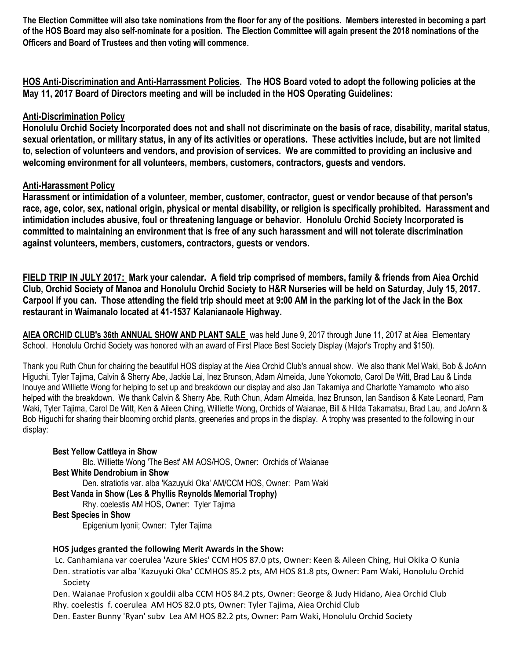**The Election Committee will also take nominations from the floor for any of the positions. Members interested in becoming a part of the HOS Board may also self-nominate for a position. The Election Committee will again present the 2018 nominations of the Officers and Board of Trustees and then voting will commence**.

**HOS Anti-Discrimination and Anti-Harrassment Policies. The HOS Board voted to adopt the following policies at the May 11, 2017 Board of Directors meeting and will be included in the HOS Operating Guidelines:**

## **Anti-Discrimination Policy**

**Honolulu Orchid Society Incorporated does not and shall not discriminate on the basis of race, disability, marital status, sexual orientation, or military status, in any of its activities or operations. These activities include, but are not limited to, selection of volunteers and vendors, and provision of services. We are committed to providing an inclusive and welcoming environment for all volunteers, members, customers, contractors, guests and vendors.**

## **Anti-Harassment Policy**

**Harassment or intimidation of a volunteer, member, customer, contractor, guest or vendor because of that person's race, age, color, sex, national origin, physical or mental disability, or religion is specifically prohibited. Harassment and intimidation includes abusive, foul or threatening language or behavior. Honolulu Orchid Society Incorporated is committed to maintaining an environment that is free of any such harassment and will not tolerate discrimination against volunteers, members, customers, contractors, guests or vendors.**

**FIELD TRIP IN JULY 2017: Mark your calendar. A field trip comprised of members, family & friends from Aiea Orchid Club, Orchid Society of Manoa and Honolulu Orchid Society to H&R Nurseries will be held on Saturday, July 15, 2017. Carpool if you can. Those attending the field trip should meet at 9:00 AM in the parking lot of the Jack in the Box restaurant in Waimanalo located at 41-1537 Kalanianaole Highway.**

**AIEA ORCHID CLUB's 36th ANNUAL SHOW AND PLANT SALE** was held June 9, 2017 through June 11, 2017 at Aiea Elementary School. Honolulu Orchid Society was honored with an award of First Place Best Society Display (Major's Trophy and \$150).

Thank you Ruth Chun for chairing the beautiful HOS display at the Aiea Orchid Club's annual show. We also thank Mel Waki, Bob & JoAnn Higuchi, Tyler Tajima, Calvin & Sherry Abe, Jackie Lai, Inez Brunson, Adam Almeida, June Yokomoto, Carol De Witt, Brad Lau & Linda Inouye and Williette Wong for helping to set up and breakdown our display and also Jan Takamiya and Charlotte Yamamoto who also helped with the breakdown. We thank Calvin & Sherry Abe, Ruth Chun, Adam Almeida, Inez Brunson, Ian Sandison & Kate Leonard, Pam Waki, Tyler Tajima, Carol De Witt, Ken & Aileen Ching, Williette Wong, Orchids of Waianae, Bill & Hilda Takamatsu, Brad Lau, and JoAnn & Bob Higuchi for sharing their blooming orchid plants, greeneries and props in the display. A trophy was presented to the following in our display:

#### **Best Yellow Cattleya in Show**

Blc. Williette Wong 'The Best' AM AOS/HOS, Owner: Orchids of Waianae **Best White Dendrobium in Show** Den. stratiotis var. alba 'Kazuyuki Oka' AM/CCM HOS, Owner: Pam Waki **Best Vanda in Show (Les & Phyllis Reynolds Memorial Trophy)** Rhy. coelestis AM HOS, Owner: Tyler Tajima **Best Species in Show**

Epigenium Iyonii; Owner: Tyler Tajima

#### **HOS judges granted the following Merit Awards in the Show:**

Lc. Canhamiana var coerulea 'Azure Skies' CCM HOS 87.0 pts, Owner: Keen & Aileen Ching, Hui Okika O Kunia Den. stratiotis var alba 'Kazuyuki Oka' CCMHOS 85.2 pts, AM HOS 81.8 pts, Owner: Pam Waki, Honolulu Orchid Society

Den. Waianae Profusion x gouldii alba CCM HOS 84.2 pts, Owner: George & Judy Hidano, Aiea Orchid Club Rhy. coelestis f. coerulea AM HOS 82.0 pts, Owner: Tyler Tajima, Aiea Orchid Club

Den. Easter Bunny 'Ryan' subv Lea AM HOS 82.2 pts, Owner: Pam Waki, Honolulu Orchid Society